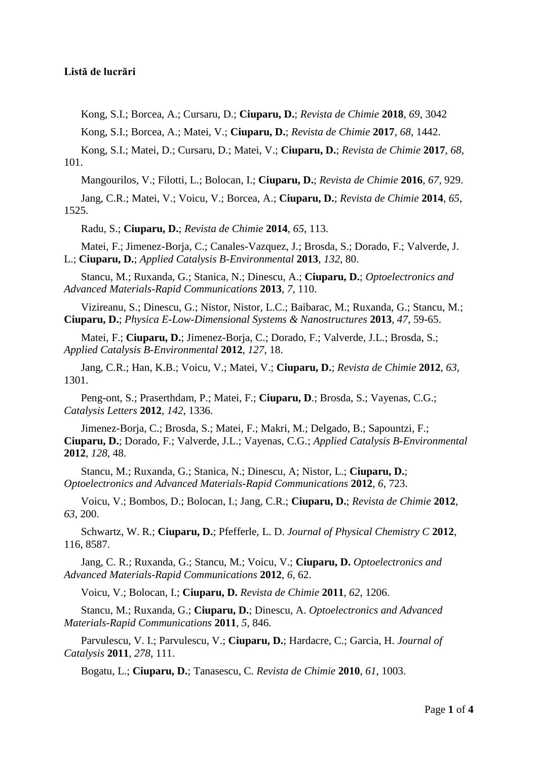## **Listă de lucrări**

Kong, S.I.; Borcea, A.; Cursaru, D.; **Ciuparu, D.**; *Revista de Chimie* **2018**, *69*, 3042

Kong, S.I.; Borcea, A.; Matei, V.; **Ciuparu, D.**; *Revista de Chimie* **2017**, *68*, 1442.

Kong, S.I.; Matei, D.; Cursaru, D.; Matei, V.; **Ciuparu, D.**; *Revista de Chimie* **2017**, *68*, 101.

Mangourilos, V.; Filotti, L.; Bolocan, I.; **Ciuparu, D.**; *Revista de Chimie* **2016**, *67*, 929.

Jang, C.R.; Matei, V.; Voicu, V.; Borcea, A.; **Ciuparu, D.**; *Revista de Chimie* **2014**, *65*, 1525.

Radu, S.; **Ciuparu, D.**; *Revista de Chimie* **2014**, *65*, 113.

Matei, F.; Jimenez-Borja, C.; Canales-Vazquez, J.; Brosda, S.; Dorado, F.; Valverde, J. L.; **Ciuparu, D.**; *Applied Catalysis B-Environmental* **2013**, *132*, 80.

Stancu, M.; Ruxanda, G.; Stanica, N.; Dinescu, A.; **Ciuparu, D.**; *Optoelectronics and Advanced Materials-Rapid Communications* **2013**, *7*, 110.

Vizireanu, S.; Dinescu, G.; Nistor, Nistor, L.C.; Baibarac, M.; Ruxanda, G.; Stancu, M.; **Ciuparu, D.**; *Physica E-Low-Dimensional Systems & Nanostructures* **2013**, *47*, 59-65.

Matei, F.; **Ciuparu, D.**; Jimenez-Borja, C.; Dorado, F.; Valverde, J.L.; Brosda, S.; *Applied Catalysis B-Environmental* **2012**, *127*, 18.

Jang, C.R.; Han, K.B.; Voicu, V.; Matei, V.; **Ciuparu, D.**; *Revista de Chimie* **2012**, *63*, 1301.

Peng-ont, S.; Praserthdam, P.; Matei, F.; **Ciuparu, D**.; Brosda, S.; Vayenas, C.G.; *Catalysis Letters* **2012**, *142*, 1336.

Jimenez-Borja, C.; Brosda, S.; Matei, F.; Makri, M.; Delgado, B.; Sapountzi, F.; **Ciuparu, D.**; Dorado, F.; Valverde, J.L.; Vayenas, C.G.; *Applied Catalysis B-Environmental* **2012**, *128*, 48.

Stancu, M.; Ruxanda, G.; Stanica, N.; Dinescu, A; Nistor, L.; **Ciuparu, D.**; *Optoelectronics and Advanced Materials-Rapid Communications* **2012**, *6*, 723.

Voicu, V.; Bombos, D.; Bolocan, I.; Jang, C.R.; **Ciuparu, D.**; *Revista de Chimie* **2012**, *63*, 200.

Schwartz, W. R.; **Ciuparu, D.**; Pfefferle, L. D. *Journal of Physical Chemistry C* **2012**, 116, 8587.

Jang, C. R.; Ruxanda, G.; Stancu, M.; Voicu, V.; **Ciuparu, D.** *Optoelectronics and Advanced Materials-Rapid Communications* **2012**, *6*, 62.

Voicu, V.; Bolocan, I.; **Ciuparu, D.** *Revista de Chimie* **2011**, *62*, 1206.

Stancu, M.; Ruxanda, G.; **Ciuparu, D.**; Dinescu, A. *Optoelectronics and Advanced Materials-Rapid Communications* **2011**, *5*, 846.

Parvulescu, V. I.; Parvulescu, V.; **Ciuparu, D.**; Hardacre, C.; Garcia, H. *Journal of Catalysis* **2011**, *278*, 111.

Bogatu, L.; **Ciuparu, D.**; Tanasescu, C. *Revista de Chimie* **2010**, *61*, 1003.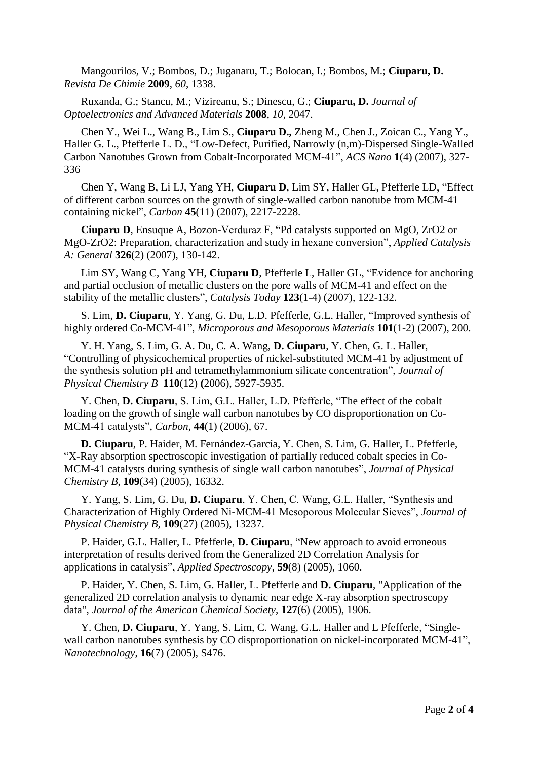Mangourilos, V.; Bombos, D.; Juganaru, T.; Bolocan, I.; Bombos, M.; **Ciuparu, D.** *Revista De Chimie* **2009**, *60*, 1338.

Ruxanda, G.; Stancu, M.; Vizireanu, S.; Dinescu, G.; **Ciuparu, D.** *Journal of Optoelectronics and Advanced Materials* **2008**, *10*, 2047.

Chen Y., Wei L., Wang B., Lim S., **Ciuparu D.,** Zheng M., Chen J., Zoican C., Yang Y., Haller G. L., Pfefferle L. D., "Low-Defect, Purified, Narrowly (n,m)-Dispersed Single-Walled Carbon Nanotubes Grown from Cobalt-Incorporated MCM-41", *ACS Nano* **1**(4) (2007), 327- 336

Chen Y, Wang B, Li LJ, Yang YH, **Ciuparu D**, Lim SY, Haller GL, Pfefferle LD, "Effect of different carbon sources on the growth of single-walled carbon nanotube from MCM-41 containing nickel", *Carbon* **45**(11) (2007), 2217-2228.

**Ciuparu D**, Ensuque A, Bozon-Verduraz F, "Pd catalysts supported on MgO, ZrO2 or MgO-ZrO2: Preparation, characterization and study in hexane conversion", *Applied Catalysis A: General* **326**(2) (2007), 130-142.

Lim SY, Wang C, Yang YH, **Ciuparu D**, Pfefferle L, Haller GL, "Evidence for anchoring and partial occlusion of metallic clusters on the pore walls of MCM-41 and effect on the stability of the metallic clusters", *Catalysis Today* **123**(1-4) (2007), 122-132.

S. Lim, **D. Ciuparu**, Y. Yang, G. Du, L.D. Pfefferle, G.L. Haller, "Improved synthesis of highly ordered Co-MCM-41", *Microporous and Mesoporous Materials* **101**(1-2) (2007), 200.

Y. H. Yang, S. Lim, G. A. Du, C. A. Wang, **D. Ciuparu**, Y. Chen, G. L. Haller, "Controlling of physicochemical properties of nickel-substituted MCM-41 by adjustment of the synthesis solution pH and tetramethylammonium silicate concentration", *Journal of Physical Chemistry B* **110**(12) **(**2006), 5927-5935.

Y. Chen, **D. Ciuparu**, S. Lim, G.L. Haller, L.D. Pfefferle, "The effect of the cobalt loading on the growth of single wall carbon nanotubes by CO disproportionation on Co-MCM-41 catalysts", *Carbon*, **44**(1) (2006), 67.

**D. Ciuparu**, P. Haider, M. Fernández-García, Y. Chen, S. Lim, G. Haller, L. Pfefferle, "X-Ray absorption spectroscopic investigation of partially reduced cobalt species in Co-MCM-41 catalysts during synthesis of single wall carbon nanotubes", *Journal of Physical Chemistry B*, **109**(34) (2005), 16332.

Y. Yang, S. Lim, G. Du, **D. Ciuparu**, Y. Chen, C. Wang, G.L. Haller, "Synthesis and Characterization of Highly Ordered Ni-MCM-41 Mesoporous Molecular Sieves", *Journal of Physical Chemistry B,* **109**(27) (2005), 13237.

P. Haider, G.L. Haller, L. Pfefferle, **D. Ciuparu**, "New approach to avoid erroneous interpretation of results derived from the Generalized 2D Correlation Analysis for applications in catalysis", *Applied Spectroscopy,* **59**(8) (2005), 1060.

P. Haider, Y. Chen, S. Lim, G. Haller, L. Pfefferle and **D. Ciuparu**, "Application of the generalized 2D correlation analysis to dynamic near edge X-ray absorption spectroscopy data", *Journal of the American Chemical Society*, **127**(6) (2005), 1906.

Y. Chen, **D. Ciuparu**, Y. Yang, S. Lim, C. Wang, G.L. Haller and L Pfefferle, "Singlewall carbon nanotubes synthesis by CO disproportionation on nickel-incorporated MCM-41", *Nanotechnology*, **16**(7) (2005), S476.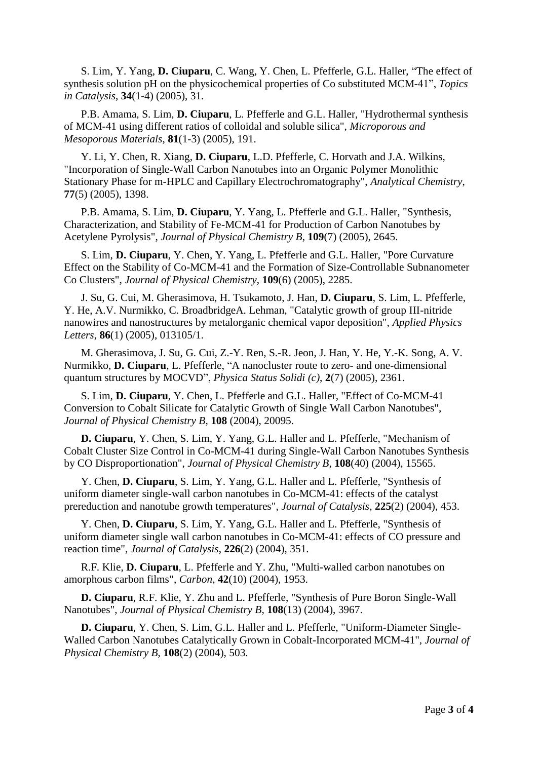S. Lim, Y. Yang, **D. Ciuparu**, C. Wang, Y. Chen, L. Pfefferle, G.L. Haller, "The effect of synthesis solution pH on the physicochemical properties of Co substituted MCM-41", *Topics in Catalysis*, **34**(1-4) (2005), 31.

P.B. Amama, S. Lim, **D. Ciuparu**, L. Pfefferle and G.L. Haller, "Hydrothermal synthesis of MCM-41 using different ratios of colloidal and soluble silica", *Microporous and Mesoporous Materials*, **81**(1-3) (2005), 191.

Y. Li, Y. Chen, R. Xiang, **D. Ciuparu**, L.D. Pfefferle, C. Horvath and J.A. Wilkins, "Incorporation of Single-Wall Carbon Nanotubes into an Organic Polymer Monolithic Stationary Phase for m-HPLC and Capillary Electrochromatography", *Analytical Chemistry*, **77**(5) (2005), 1398.

P.B. Amama, S. Lim, **D. Ciuparu**, Y. Yang, L. Pfefferle and G.L. Haller, "Synthesis, Characterization, and Stability of Fe-MCM-41 for Production of Carbon Nanotubes by Acetylene Pyrolysis", *Journal of Physical Chemistry B*, **109**(7) (2005), 2645.

S. Lim, **D. Ciuparu**, Y. Chen, Y. Yang, L. Pfefferle and G.L. Haller, "Pore Curvature Effect on the Stability of Co-MCM-41 and the Formation of Size-Controllable Subnanometer Co Clusters", *Journal of Physical Chemistry*, **109**(6) (2005), 2285.

J. Su, G. Cui, M. Gherasimova, H. Tsukamoto, J. Han, **D. Ciuparu**, S. Lim, L. Pfefferle, Y. He, A.V. Nurmikko, C. BroadbridgeA. Lehman, "Catalytic growth of group III-nitride nanowires and nanostructures by metalorganic chemical vapor deposition", *Applied Physics Letters*, **86**(1) (2005), 013105/1.

M. Gherasimova, J. Su, G. Cui, Z.-Y. Ren, S.-R. Jeon, J. Han, Y. He, Y.-K. Song, A. V. Nurmikko, **D. Ciuparu**, L. Pfefferle, "A nanocluster route to zero- and one-dimensional quantum structures by MOCVD", *Physica Status Solidi (c)*, **2**(7) (2005), 2361.

S. Lim, **D. Ciuparu**, Y. Chen, L. Pfefferle and G.L. Haller, "Effect of Co-MCM-41 Conversion to Cobalt Silicate for Catalytic Growth of Single Wall Carbon Nanotubes", *Journal of Physical Chemistry B*, **108** (2004), 20095.

**D. Ciuparu**, Y. Chen, S. Lim, Y. Yang, G.L. Haller and L. Pfefferle, "Mechanism of Cobalt Cluster Size Control in Co-MCM-41 during Single-Wall Carbon Nanotubes Synthesis by CO Disproportionation", *Journal of Physical Chemistry B*, **108**(40) (2004), 15565.

Y. Chen, **D. Ciuparu**, S. Lim, Y. Yang, G.L. Haller and L. Pfefferle, "Synthesis of uniform diameter single-wall carbon nanotubes in Co-MCM-41: effects of the catalyst prereduction and nanotube growth temperatures", *Journal of Catalysis*, **225**(2) (2004), 453.

Y. Chen, **D. Ciuparu**, S. Lim, Y. Yang, G.L. Haller and L. Pfefferle, "Synthesis of uniform diameter single wall carbon nanotubes in Co-MCM-41: effects of CO pressure and reaction time", *Journal of Catalysis*, **226**(2) (2004), 351.

R.F. Klie, **D. Ciuparu**, L. Pfefferle and Y. Zhu, "Multi-walled carbon nanotubes on amorphous carbon films", *Carbon*, **42**(10) (2004), 1953.

**D. Ciuparu**, R.F. Klie, Y. Zhu and L. Pfefferle, "Synthesis of Pure Boron Single-Wall Nanotubes", *Journal of Physical Chemistry B*, **108**(13) (2004), 3967.

**D. Ciuparu**, Y. Chen, S. Lim, G.L. Haller and L. Pfefferle, "Uniform-Diameter Single-Walled Carbon Nanotubes Catalytically Grown in Cobalt-Incorporated MCM-41", *Journal of Physical Chemistry B*, **108**(2) (2004), 503.